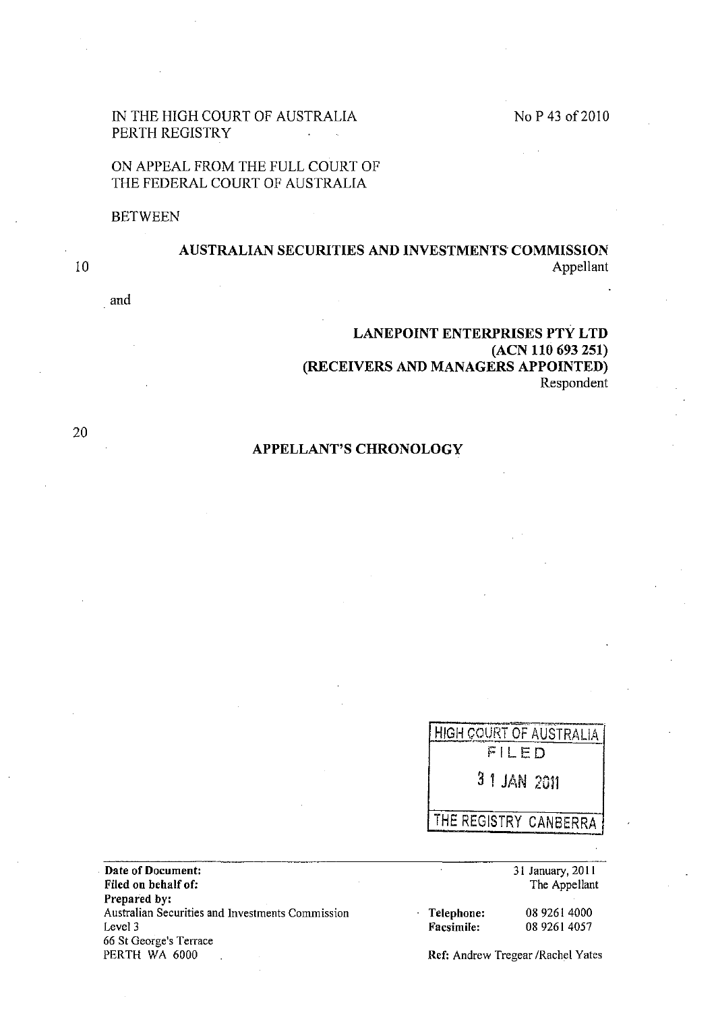# No P 43 of 2010

# IN THE HIGH COURT OF AUSTRALIA PERTH REGISTRY

# ON APPEAL FROM THE FULL COURT OF THE FEDERAL COURT OF AUSTRALIA

#### BETWEEN

# AUSTRALIAN SECURITIES AND INVESTMENTS COMMISSION Appellant

and

# LANEPOINT ENTERPRISES PTY LTD (ACN 110 693 251) (RECEIVERS AND MANAGERS APPOINTED) Respondent

20

10

# APPELLANT'S CHRONOLOGY

**HIGH COURT OF AUSTRALIA** FILED 3 1 JAN 2011 THE REGISTRY CANBERRA

. Date of Document: Filed on behalf of: Prepared by: Australian Securities and Investments Commission Level 3 **66 St George <sup>1</sup> s Terrace**  PERTH WA 6000 Ref: Andrew Tregear /Rachel Yates

31 January, 201 I The Appellant

Telephone: Facsimile:

0892614000 0892614057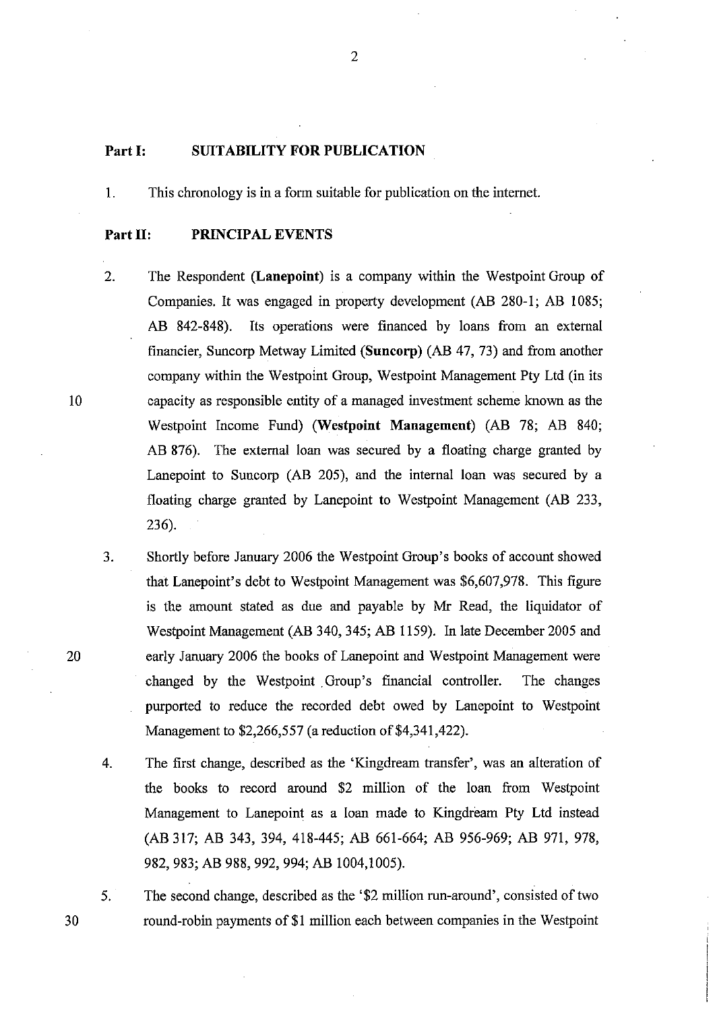### **Part I: SUITABILITY FOR PUBLICATION**

1. This chronology is in a form suitable for publication on the internet.

### **Part 11: PRINCIPAL EVENTS**

- 2. The Respondent **(Lanepoint)** is a company within the Westpoint Group of Companies. It was engaged **in** property development (AB 280-1; AB 1085; AB 842-848). Its operations were financed by loans from an external financier, Suncorp Metway Limited **(Suncorp)** (AB 47, 73) and from another company within the Westpoint Group, Westpoint Management Pty Ltd (in its capacity as responsible entity of a managed investment scheme known as the Westpoint Income Fund) **(Westpoint Management)** (AB 78; AB 840; AB 876). The external loan was secured by a floating charge granted by Lanepoint to Suncorp (AB 205), and the internal loan was secured by a floating charge granted by Lanepoint to Westpoint Management (AB 233, 236).
- 3. Shortly before January 2006 the Westpoint Group's books of account showed that Lanepoint's debt to Westpoint Management was \$6,607,978. This figure is the amount stated as due and payable by Mr Read, the liquidator of Westpoint Management (AB 340, 345; AB 1159). In late December 2005 and early January 2006 the books of Lanepoint and Westpoint Management were changed by the Westpoint. Group's financial controller. The changes purported to reduce the recorded debt owed by Lanepoint to Westpoint Management to \$2,266,557 (a reduction of \$4,341,422).
- 4. The first change, described as the 'Kingdream transfer', was an alteration of the books to record around \$2 million of the loan from Westpoint Management to Lanepoint as a loan made to Kingdream Pty Ltd instead (AB 317; AB 343, 394, 418-445; AB 661-664; AB 956-969; AB 971, 978, 982,983; AB 988, 992, 994; AB 1004,1005).
- 5. The second change, described as the '\$2 million run-around', consisted of two round-robin payments of \$1 million each between companies in the Westpoint

10

20